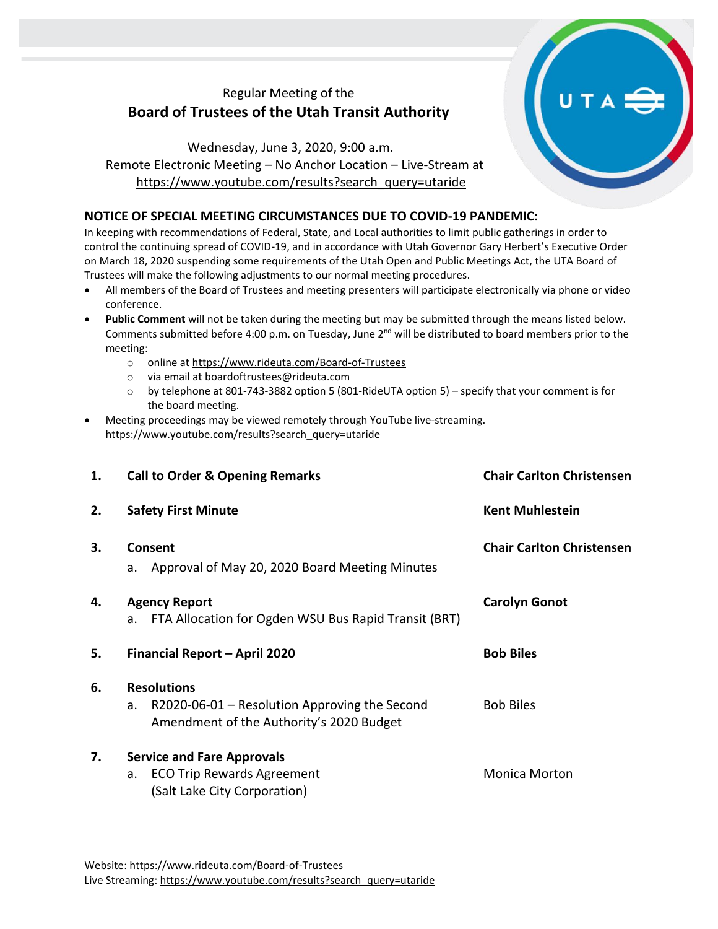## Regular Meeting of the **Board of Trustees of the Utah Transit Authority**

Wednesday, June 3, 2020, 9:00 a.m. Remote Electronic Meeting – No Anchor Location – Live-Stream at [https://www.youtube.com/results?search\\_query=utaride](https://www.youtube.com/results?search_query=utaride)

## **NOTICE OF SPECIAL MEETING CIRCUMSTANCES DUE TO COVID-19 PANDEMIC:**

In keeping with recommendations of Federal, State, and Local authorities to limit public gatherings in order to control the continuing spread of COVID-19, and in accordance with Utah Governor Gary Herbert's Executive Order on March 18, 2020 suspending some requirements of the Utah Open and Public Meetings Act, the UTA Board of Trustees will make the following adjustments to our normal meeting procedures.

- All members of the Board of Trustees and meeting presenters will participate electronically via phone or video conference.
- **Public Comment** will not be taken during the meeting but may be submitted through the means listed below. Comments submitted before 4:00 p.m. on Tuesday, June 2<sup>nd</sup> will be distributed to board members prior to the meeting:
	- o online at<https://www.rideuta.com/Board-of-Trustees>
	- o via email at [boardoftrustees@rideuta.com](mailto:boardoftrustees@rideuta.com)
	- o by telephone at 801-743-3882 option 5 (801-RideUTA option 5) specify that your comment is for the board meeting.
- Meeting proceedings may be viewed remotely through YouTube live-streaming. [https://www.youtube.com/results?search\\_query=utaride](https://www.youtube.com/results?search_query=utaride)

| 1. | <b>Call to Order &amp; Opening Remarks</b>                                                                              | <b>Chair Carlton Christensen</b> |
|----|-------------------------------------------------------------------------------------------------------------------------|----------------------------------|
| 2. | <b>Safety First Minute</b>                                                                                              | <b>Kent Muhlestein</b>           |
| 3. | Consent<br>Approval of May 20, 2020 Board Meeting Minutes<br>a.                                                         | <b>Chair Carlton Christensen</b> |
| 4. | <b>Agency Report</b><br>FTA Allocation for Ogden WSU Bus Rapid Transit (BRT)<br>a.                                      | <b>Carolyn Gonot</b>             |
| 5. | Financial Report - April 2020                                                                                           | <b>Bob Biles</b>                 |
| 6. | <b>Resolutions</b><br>$R2020-06-01$ – Resolution Approving the Second<br>a.<br>Amendment of the Authority's 2020 Budget | <b>Bob Biles</b>                 |
| 7. | <b>Service and Fare Approvals</b><br><b>ECO Trip Rewards Agreement</b><br>a.<br>(Salt Lake City Corporation)            | <b>Monica Morton</b>             |